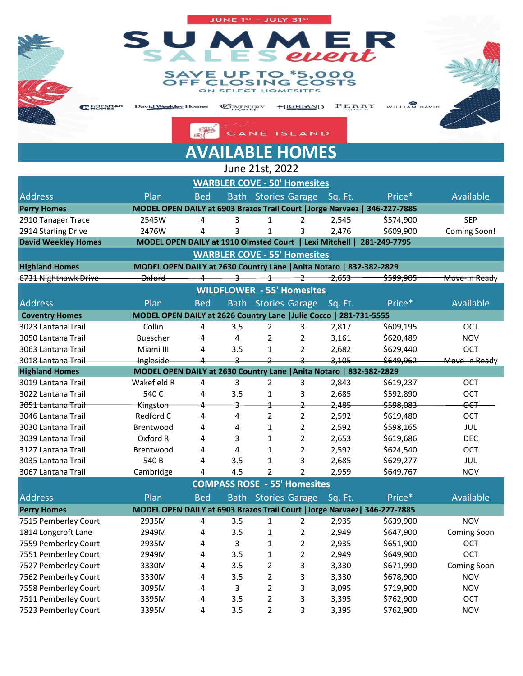## E R vent \$5,000 TO **LOSING COSTS SELECT HOMESITES** ON

JUNE  $1^\mathrm{sr}$  – JULY  $31^\mathrm{sr}$ 

WILLIAM DAV **HIGHLAND**  $PERRY$ **COVENTRY E** SHESMA **David Weekley Homes** 

CANE

平 **AVAILABLE HOMES**

**ISLAND** 

Address **Plan Bed Bath Stories Garage Sq. Ft.** Price\* Available 2910 Tanager Trace 2545W 4 3 1 2 2,545 \$574,900 SEP 2914 Starling Drive 2476W 4 3 1 3 2,476 \$609,900 Coming Soon! **Highland Homes MODEL OPEN DAILY at 2630 Country Lane |Anita Notaro | 832-382-2829** 6731 Nighthawk Drive Oxford 4 3 1 2 2,653 \$599,905 Move-In Ready Address **Plan Bed Bath Stories Garage Sq. Ft.** Price\* Available 3023 Lantana Trail Collin 4 3.5 2 3 2,817 \$609,195 OCT 3050 Lantana Trail Buescher 4 4 2 2 3,161 \$620,489 NOV 3063 Lantana Trail Miami III 4 3.5 1 2 2,682 \$629,440 OCT 3018 Lantana Trail **Ingleside** 1 2 3 3,105 \$649,962 Move-In Ready **Highland Homes MODEL OPEN DAILY at 2630 Country Lane |Anita Notaro | 832-382-2829** 3019 Lantana Trail Wakefield R 4 3 2 3 2,843 \$619,237 OCT 3022 Lantana Trail 540 C 4 3.5 1 3 2,685 \$592,890 OCT 3051 Lantana Trail **Kingston** 4 3 1 2 2,485 \$598,083 OCT 3046 Lantana Trail Redford C 4 4 2 2 2,592 \$619,480 OCT 3030 Lantana Trail Brentwood 4 4 1 2 2,592 \$598,165 JUL 3039 Lantana Trail Oxford R 4 3 1 2 2,653 \$619,686 DEC 3127 Lantana Trail Brentwood 4 4 1 2 2,592 \$624,540 OCT 3035 Lantana Trail 540 B 4 3.5 1 3 2,685 \$629,277 JUL 3067 Lantana Trail Cambridge 4 4.5 2 2 2,959 \$649,767 NOV June 21st, 2022 **Perry Homes MODEL OPEN DAILY at 6903 Brazos Trail Court |Jorge Narvaez | 346-227-7885 WARBLER COVE - 50' Homesites David Weekley Homes MODEL OPEN DAILY at 1910 Olmsted Court | Lexi Mitchell | 281-249-7795 WILDFLOWER - 55' Homesites Coventry Homes MODEL OPEN DAILY at 2626 Country Lane |Julie Cocco | 281-731-5555 COMPASS ROSE - 55' Homesites WARBLER COVE - 55' Homesites**

| <b>Address</b>       | Plan                                                                      | <b>Bed</b> |     |                | Bath Stories Garage | Sq. Ft. | Price*    | Available   |
|----------------------|---------------------------------------------------------------------------|------------|-----|----------------|---------------------|---------|-----------|-------------|
| <b>Perry Homes</b>   | MODEL OPEN DAILY at 6903 Brazos Trail Court   Jorge Narvaez  346-227-7885 |            |     |                |                     |         |           |             |
| 7515 Pemberley Court | 2935M                                                                     | 4          | 3.5 |                |                     | 2.935   | \$639,900 | <b>NOV</b>  |
| 1814 Longcroft Lane  | 2949M                                                                     | 4          | 3.5 |                |                     | 2.949   | \$647,900 | Coming Soon |
| 7559 Pemberley Court | 2935M                                                                     | 4          | 3   |                |                     | 2,935   | \$651,900 | OCT         |
| 7551 Pemberley Court | 2949M                                                                     | 4          | 3.5 |                |                     | 2,949   | \$649,900 | <b>OCT</b>  |
| 7527 Pemberley Court | 3330M                                                                     | 4          | 3.5 | 2              | 3                   | 3,330   | \$671,990 | Coming Soon |
| 7562 Pemberley Court | 3330M                                                                     | 4          | 3.5 | $\mathcal{P}$  | 3                   | 3,330   | \$678,900 | <b>NOV</b>  |
| 7558 Pemberley Court | 3095M                                                                     | 4          | 3   | $\mathfrak{p}$ | 3                   | 3,095   | \$719,900 | <b>NOV</b>  |
| 7511 Pemberley Court | 3395M                                                                     | 4          | 3.5 | 2              | 3                   | 3,395   | \$762,900 | <b>OCT</b>  |
| 7523 Pemberley Court | 3395M                                                                     | 4          | 3.5 |                | 3                   | 3.395   | \$762,900 | <b>NOV</b>  |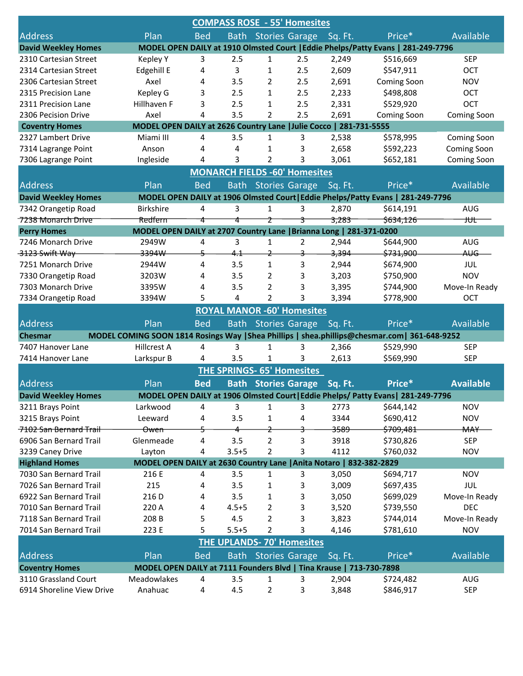| <b>COMPASS ROSE - 55' Homesites</b> |                                                                     |            |             |                |                                      |         |                                                                                               |                    |  |
|-------------------------------------|---------------------------------------------------------------------|------------|-------------|----------------|--------------------------------------|---------|-----------------------------------------------------------------------------------------------|--------------------|--|
| <b>Address</b>                      | Plan                                                                | <b>Bed</b> |             |                | <b>Bath Stories Garage</b>           | Sq. Ft. | Price*                                                                                        | Available          |  |
| <b>David Weekley Homes</b>          |                                                                     |            |             |                |                                      |         | MODEL OPEN DAILY at 1910 Olmsted Court   Eddie Phelps/Patty Evans   281-249-7796              |                    |  |
| 2310 Cartesian Street               | Kepley Y                                                            | 3          | 2.5         | 1              | 2.5                                  | 2,249   | \$516,669                                                                                     | <b>SEP</b>         |  |
| 2314 Cartesian Street               | Edgehill E                                                          | 4          | 3           | 1              | 2.5                                  | 2,609   | \$547,911                                                                                     | <b>OCT</b>         |  |
| 2306 Cartesian Street               | Axel                                                                | 4          | 3.5         | 2              | 2.5                                  | 2,691   | Coming Soon                                                                                   | <b>NOV</b>         |  |
| 2315 Precision Lane                 | Kepley G                                                            | 3          | 2.5         | 1              | 2.5                                  | 2,233   | \$498,808                                                                                     | OCT                |  |
| 2311 Precision Lane                 | Hillhaven F                                                         | 3          | 2.5         | 1              | 2.5                                  | 2,331   | \$529,920                                                                                     | OCT                |  |
| 2306 Pecision Drive                 | Axel                                                                | 4          | 3.5         | 2              | 2.5                                  | 2,691   | Coming Soon                                                                                   | <b>Coming Soon</b> |  |
| <b>Coventry Homes</b>               | MODEL OPEN DAILY at 2626 Country Lane   Julie Cocco   281-731-5555  |            |             |                |                                      |         |                                                                                               |                    |  |
| 2327 Lambert Drive                  | Miami III                                                           | 4          | 3.5         | 1              | 3                                    | 2,538   | \$578,995                                                                                     | Coming Soon        |  |
| 7314 Lagrange Point                 | Anson                                                               | 4          | 4           | 1              | 3                                    | 2,658   | \$592,223                                                                                     | <b>Coming Soon</b> |  |
| 7306 Lagrange Point                 | Ingleside                                                           | 4          | 3           | 2              | 3                                    | 3,061   | \$652,181                                                                                     | Coming Soon        |  |
|                                     |                                                                     |            |             |                | <b>MONARCH FIELDS -60' Homesites</b> |         |                                                                                               |                    |  |
| <b>Address</b>                      | Plan                                                                | <b>Bed</b> | <b>Bath</b> |                | <b>Stories Garage</b>                | Sq. Ft. | Price*                                                                                        | Available          |  |
| <b>David Weekley Homes</b>          |                                                                     |            |             |                |                                      |         | MODEL OPEN DAILY at 1906 Olmsted Court   Eddie Phelps/Patty Evans   281-249-7796              |                    |  |
| 7342 Orangetip Road                 | <b>Birkshire</b>                                                    | 4          | 3           | 1              | 3                                    | 2,870   | \$614,191                                                                                     | AUG                |  |
| 7238 Monarch Drive                  | Redfern                                                             | 4          | 4           | z              | 3                                    | 3,283   | \$634,126                                                                                     | tUt                |  |
| <b>Perry Homes</b>                  | MODEL OPEN DAILY at 2707 Country Lane   Brianna Long   281-371-0200 |            |             |                |                                      |         |                                                                                               |                    |  |
| 7246 Monarch Drive                  | 2949W                                                               | 4          | 3           | $\mathbf{1}$   | $\overline{2}$                       | 2,944   | \$644,900                                                                                     | AUG                |  |
| 3123 Swift Way                      | 3394W                                                               | -5         | 4.1         | $\overline{z}$ | 3                                    | 3,394   | \$731,900                                                                                     | AUG                |  |
| 7251 Monarch Drive                  | 2944W                                                               | 4          | 3.5         | 1              | 3                                    | 2,944   | \$674,900                                                                                     | JUL                |  |
| 7330 Orangetip Road                 | 3203W                                                               | 4          | 3.5         | 2              | 3                                    | 3,203   | \$750,900                                                                                     | <b>NOV</b>         |  |
| 7303 Monarch Drive                  | 3395W                                                               | 4          | 3.5         | 2              | 3                                    | 3,395   | \$744,900                                                                                     | Move-In Ready      |  |
| 7334 Orangetip Road                 | 3394W                                                               | 5          | 4           | $\overline{2}$ | 3                                    | 3,394   | \$778,900                                                                                     | OCT                |  |
|                                     |                                                                     |            |             |                | <b>ROYAL MANOR -60' Homesites</b>    |         |                                                                                               |                    |  |
| <b>Address</b>                      | Plan                                                                | <b>Bed</b> | <b>Bath</b> |                |                                      |         | Price*                                                                                        | Available          |  |
|                                     |                                                                     |            |             |                | <b>Stories Garage</b>                | Sq. Ft. |                                                                                               |                    |  |
| <b>Chesmar</b>                      |                                                                     |            |             |                |                                      |         | MODEL COMING SOON 1814 Rosings Way   Shea Phillips   shea.phillips@chesmar.com   361-648-9252 |                    |  |
| 7407 Hanover Lane                   | Hillcrest A                                                         | 4          | 3           | 1              | 3                                    | 2,366   | \$529,990                                                                                     | <b>SEP</b>         |  |
| 7414 Hanover Lane                   | Larkspur B                                                          | 4          | 3.5         | 1              | 3                                    | 2,613   | \$569,990                                                                                     | <b>SEP</b>         |  |
|                                     |                                                                     |            |             |                | <b>THE SPRINGS- 65' Homesites</b>    |         |                                                                                               |                    |  |
| <b>Address</b>                      | Plan                                                                | <b>Bed</b> | <b>Bath</b> |                | <b>Stories Garage</b>                | Sq. Ft. | Price*                                                                                        | <b>Available</b>   |  |
| <b>David Weekley Homes</b>          |                                                                     |            |             |                |                                      |         | MODEL OPEN DAILY at 1906 Olmsted Court   Eddie Phelps/ Patty Evans   281-249-7796             |                    |  |
| 3211 Brays Point                    | Larkwood                                                            | 4          | 3           | 1              | 3                                    | 2773    | \$644,142                                                                                     | <b>NOV</b>         |  |
| 3215 Brays Point                    | Leeward                                                             | 4          | 3.5         | 1              | 4                                    | 3344    | \$690,412                                                                                     | <b>NOV</b>         |  |
| 7102 San Bernard Trail              | <del>Owen</del>                                                     | 5          | 4           | $\overline{z}$ | 3                                    | 3589    | \$709,481                                                                                     | <b>MAY</b>         |  |
| 6906 San Bernard Trail              | Glenmeade                                                           | 4          | 3.5         | $\overline{2}$ | 3                                    | 3918    | \$730,826                                                                                     | <b>SEP</b>         |  |
| 3239 Caney Drive                    | Layton                                                              | 4          | $3.5 + 5$   | $\overline{2}$ | 3                                    | 4112    | \$760,032                                                                                     | <b>NOV</b>         |  |
| <b>Highland Homes</b>               | MODEL OPEN DAILY at 2630 Country Lane   Anita Notaro   832-382-2829 |            |             |                |                                      |         |                                                                                               |                    |  |
| 7030 San Bernard Trail              | 216 E                                                               | 4          | 3.5         | 1              | 3                                    | 3,050   | \$694,717                                                                                     | <b>NOV</b>         |  |
| 7026 San Bernard Trail              | 215                                                                 | 4          | 3.5         | 1              | 3                                    | 3,009   | \$697,435                                                                                     | JUL                |  |
| 6922 San Bernard Trail              | 216 D                                                               | 4          | 3.5         | 1              | 3                                    | 3,050   | \$699,029                                                                                     | Move-In Ready      |  |
| 7010 San Bernard Trail              | 220 A                                                               | 4          | $4.5 + 5$   | 2              | 3                                    | 3,520   | \$739,550                                                                                     | <b>DEC</b>         |  |
| 7118 San Bernard Trail              | 208 B                                                               | 5          | 4.5         | 2              | З                                    | 3,823   | \$744,014                                                                                     | Move-In Ready      |  |
| 7014 San Bernard Trail              | 223 E                                                               | 5          | $5.5 + 5$   | 2              | 3                                    | 4,146   | \$781,610                                                                                     | <b>NOV</b>         |  |
| <b>THE UPLANDS-70' Homesites</b>    |                                                                     |            |             |                |                                      |         |                                                                                               |                    |  |
| <b>Address</b>                      | Plan                                                                | <b>Bed</b> | <b>Bath</b> |                | <b>Stories Garage</b>                | Sq. Ft. | Price*                                                                                        | Available          |  |
| <b>Coventry Homes</b>               | MODEL OPEN DAILY at 7111 Founders Blvd   Tina Krause   713-730-7898 |            |             |                |                                      |         |                                                                                               |                    |  |
| 3110 Grassland Court                | Meadowlakes                                                         | 4          | 3.5         | 1              | 3                                    | 2,904   | \$724,482                                                                                     | AUG                |  |
| 6914 Shoreline View Drive           | Anahuac                                                             | 4          | 4.5         | $\overline{2}$ | 3                                    | 3,848   | \$846,917                                                                                     | <b>SEP</b>         |  |